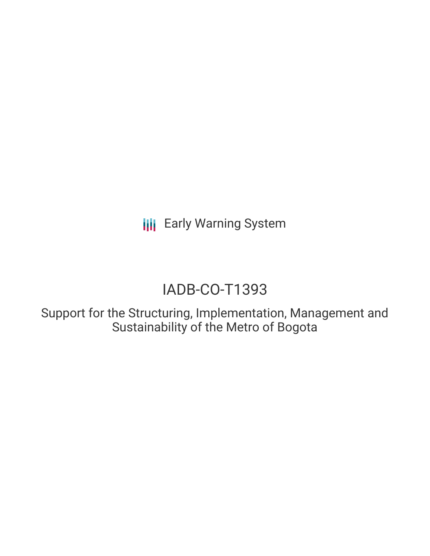**III** Early Warning System

# IADB-CO-T1393

Support for the Structuring, Implementation, Management and Sustainability of the Metro of Bogota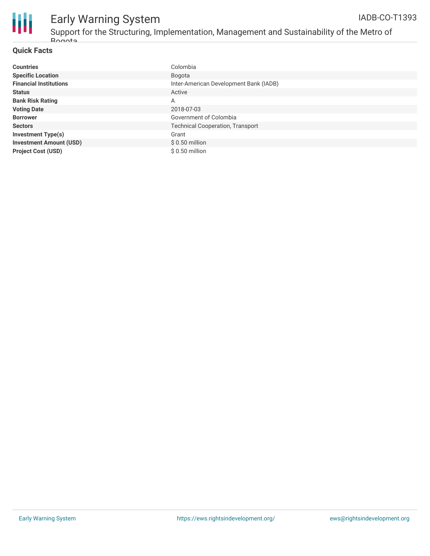

# Early Warning System

Support for the Structuring, Implementation, Management and Sustainability of the Metro of Rogota

#### **Quick Facts**

| <b>Countries</b>               | Colombia                                |
|--------------------------------|-----------------------------------------|
| <b>Specific Location</b>       | Bogota                                  |
| <b>Financial Institutions</b>  | Inter-American Development Bank (IADB)  |
| <b>Status</b>                  | Active                                  |
| <b>Bank Risk Rating</b>        | A                                       |
| <b>Voting Date</b>             | 2018-07-03                              |
| <b>Borrower</b>                | Government of Colombia                  |
| <b>Sectors</b>                 | <b>Technical Cooperation, Transport</b> |
| <b>Investment Type(s)</b>      | Grant                                   |
| <b>Investment Amount (USD)</b> | $$0.50$ million                         |
| <b>Project Cost (USD)</b>      | $$0.50$ million                         |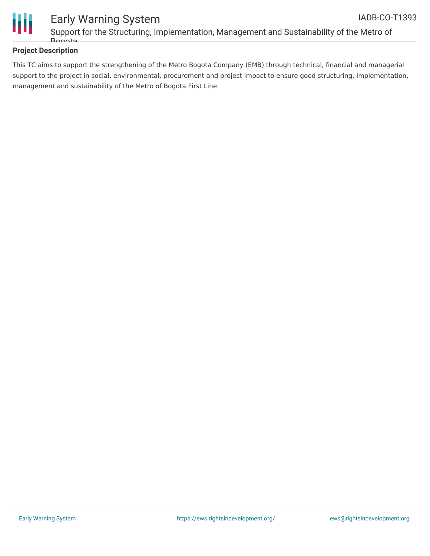

### **Project Description**

This TC aims to support the strengthening of the Metro Bogota Company (EMB) through technical, financial and managerial support to the project in social, environmental, procurement and project impact to ensure good structuring, implementation, management and sustainability of the Metro of Bogota First Line.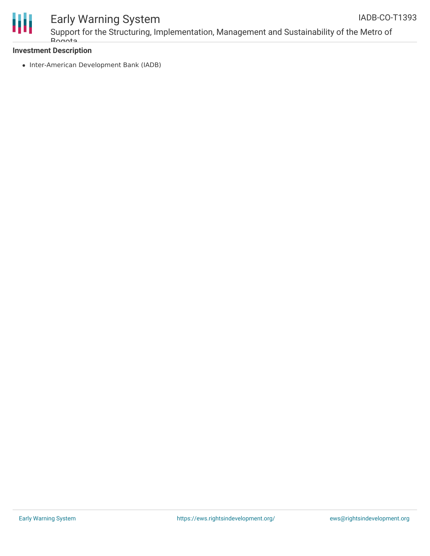

# Early Warning System

Support for the Structuring, Implementation, Management and Sustainability of the Metro of Rogota IADB-CO-T1393

### **Investment Description**

• Inter-American Development Bank (IADB)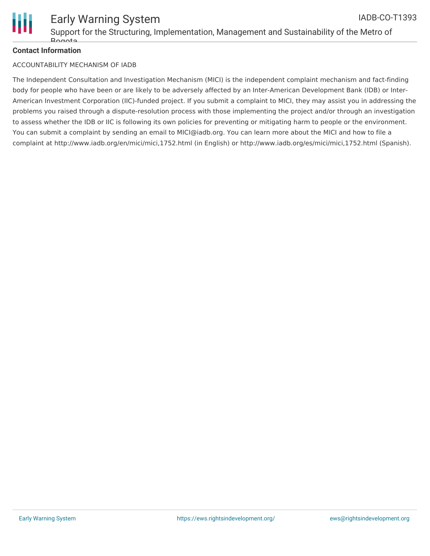

#### **Contact Information**

#### ACCOUNTABILITY MECHANISM OF IADB

The Independent Consultation and Investigation Mechanism (MICI) is the independent complaint mechanism and fact-finding body for people who have been or are likely to be adversely affected by an Inter-American Development Bank (IDB) or Inter-American Investment Corporation (IIC)-funded project. If you submit a complaint to MICI, they may assist you in addressing the problems you raised through a dispute-resolution process with those implementing the project and/or through an investigation to assess whether the IDB or IIC is following its own policies for preventing or mitigating harm to people or the environment. You can submit a complaint by sending an email to MICI@iadb.org. You can learn more about the MICI and how to file a complaint at http://www.iadb.org/en/mici/mici,1752.html (in English) or http://www.iadb.org/es/mici/mici,1752.html (Spanish).